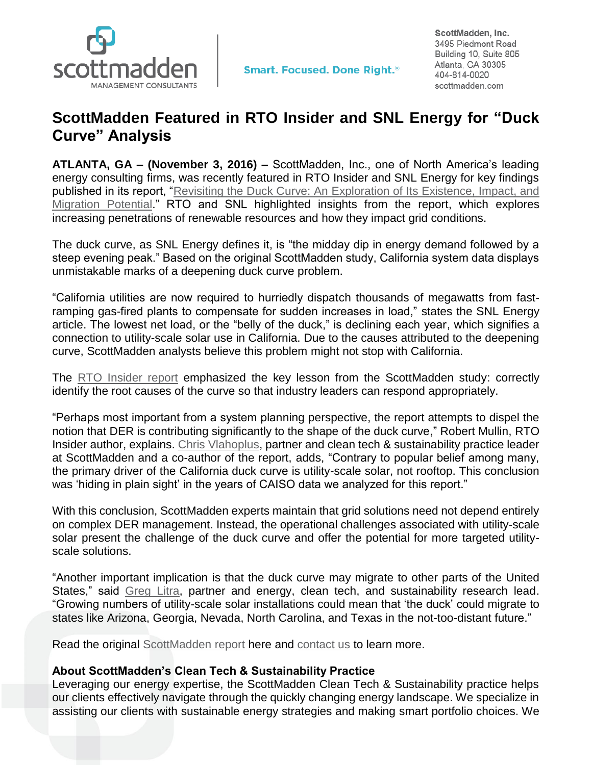

ScottMadden, Inc. 3495 Piedmont Road Building 10, Suite 805 Atlanta, GA 30305 404-814-0020 scottmadden.com

## **ScottMadden Featured in RTO Insider and SNL Energy for "Duck Curve" Analysis**

**ATLANTA, GA – (November 3, 2016) –** ScottMadden, Inc., one of North America's leading energy consulting firms, was recently featured in RTO Insider and SNL Energy for key findings published in its report, ["Revisiting the Duck Curve: An Exploration of Its Existence, Impact, and](http://www.scottmadden.com/insight/revisiting-duck-curve-exploration-existence-impact-migration-potential/)  [Migration Potential.](http://www.scottmadden.com/insight/revisiting-duck-curve-exploration-existence-impact-migration-potential/)" RTO and SNL highlighted insights from the report, which explores increasing penetrations of renewable resources and how they impact grid conditions.

The duck curve, as SNL Energy defines it, is "the midday dip in energy demand followed by a steep evening peak." Based on the original ScottMadden study, California system data displays unmistakable marks of a deepening duck curve problem.

"California utilities are now required to hurriedly dispatch thousands of megawatts from fastramping gas-fired plants to compensate for sudden increases in load," states the SNL Energy article. The lowest net load, or the "belly of the duck," is declining each year, which signifies a connection to utility-scale solar use in California. Due to the causes attributed to the deepening curve, ScottMadden analysts believe this problem might not stop with California.

The [RTO Insider report](https://www.rtoinsider.com/california-duck-curve-utility-scale-solar-32879/) emphasized the key lesson from the ScottMadden study: correctly identify the root causes of the curve so that industry leaders can respond appropriately.

"Perhaps most important from a system planning perspective, the report attempts to dispel the notion that DER is contributing significantly to the shape of the duck curve," Robert Mullin, RTO Insider author, explains. [Chris Vlahoplus,](http://www.scottmadden.com/person/chris-vlahoplus/) partner and clean tech & sustainability practice leader at ScottMadden and a co-author of the report, adds, "Contrary to popular belief among many, the primary driver of the California duck curve is utility-scale solar, not rooftop. This conclusion was 'hiding in plain sight' in the years of CAISO data we analyzed for this report."

With this conclusion, ScottMadden experts maintain that grid solutions need not depend entirely on complex DER management. Instead, the operational challenges associated with utility-scale solar present the challenge of the duck curve and offer the potential for more targeted utilityscale solutions.

"Another important implication is that the duck curve may migrate to other parts of the United States," said [Greg Litra,](http://www.scottmadden.com/person/greg-litra/) partner and energy, clean tech, and sustainability research lead. "Growing numbers of utility-scale solar installations could mean that 'the duck' could migrate to states like Arizona, Georgia, Nevada, North Carolina, and Texas in the not-too-distant future."

Read the original [ScottMadden report](http://www.scottmadden.com/insight/revisiting-duck-curve-exploration-existence-impact-migration-potential/) here and [contact us](http://www.scottmadden.com/contact-us/) to learn more.

## **About ScottMadden's Clean Tech & Sustainability Practice**

Leveraging our energy expertise, the ScottMadden Clean Tech & Sustainability practice helps our clients effectively navigate through the quickly changing energy landscape. We specialize in assisting our clients with sustainable energy strategies and making smart portfolio choices. We